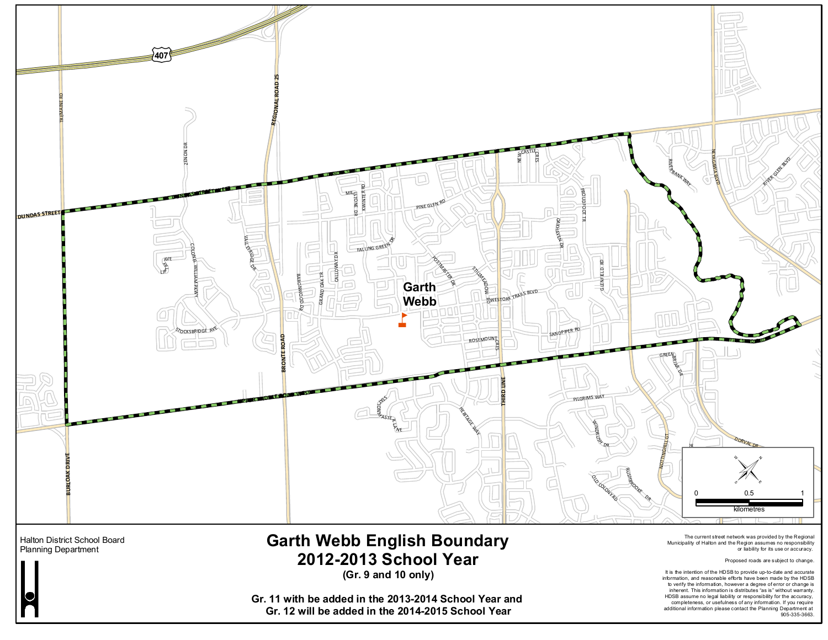

**Gr. 12 will be added in the 2014-2015 School Year**